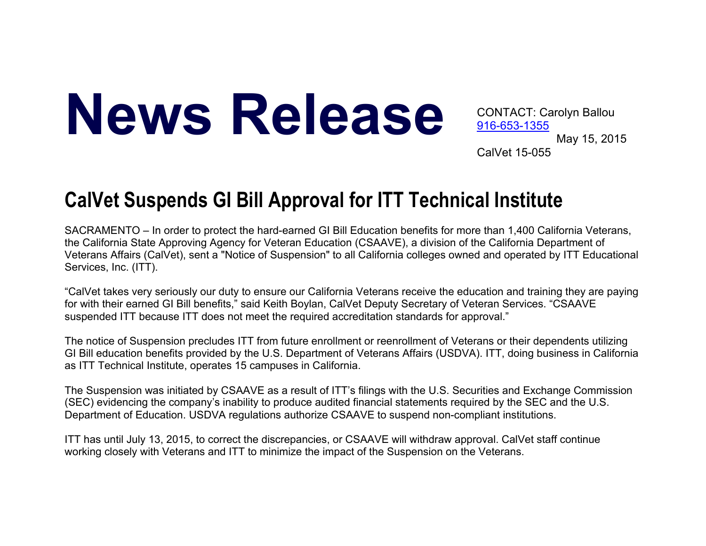## News Release CONTACT: Carolyn Ballou

916-653-1355 May 15, 2015 CalVet 15-055

## **CalVet Suspends GI Bill Approval for ITT Technical Institute**

SACRAMENTO – In order to protect the hard-earned GI Bill Education benefits for more than 1,400 California Veterans, the California State Approving Agency for Veteran Education (CSAAVE), a division of the California Department of Veterans Affairs (CalVet), sent a "Notice of Suspension" to all California colleges owned and operated by ITT Educational Services, Inc. (ITT).

"CalVet takes very seriously our duty to ensure our California Veterans receive the education and training they are paying for with their earned GI Bill benefits," said Keith Boylan, CalVet Deputy Secretary of Veteran Services. "CSAAVE suspended ITT because ITT does not meet the required accreditation standards for approval."

The notice of Suspension precludes ITT from future enrollment or reenrollment of Veterans or their dependents utilizing GI Bill education benefits provided by the U.S. Department of Veterans Affairs (USDVA). ITT, doing business in California as ITT Technical Institute, operates 15 campuses in California.

The Suspension was initiated by CSAAVE as a result of ITT's filings with the U.S. Securities and Exchange Commission (SEC) evidencing the company's inability to produce audited financial statements required by the SEC and the U.S. Department of Education. USDVA regulations authorize CSAAVE to suspend non-compliant institutions.

ITT has until July 13, 2015, to correct the discrepancies, or CSAAVE will withdraw approval. CalVet staff continue working closely with Veterans and ITT to minimize the impact of the Suspension on the Veterans.